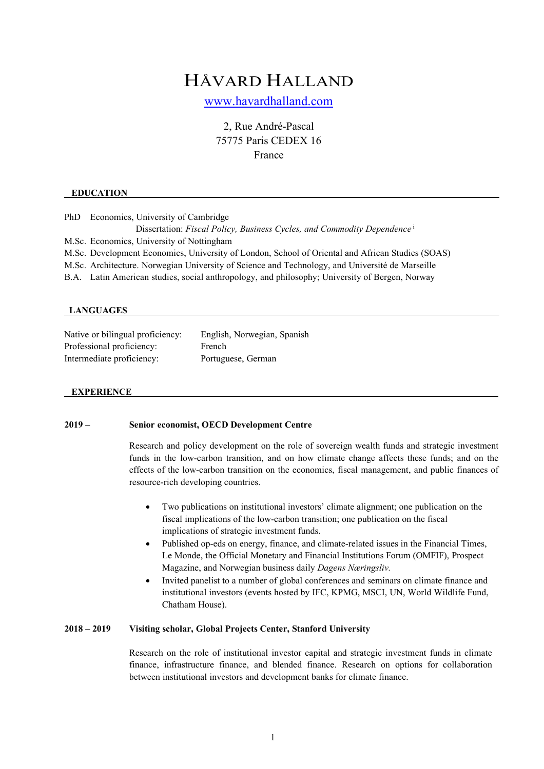# HÅVARD HALLAND

www.havardhalland.com

2, Rue André-Pascal 75775 Paris CEDEX 16 France

#### **EDUCATION**

PhD Economics, University of Cambridge Dissertation: *Fiscal Policy, Business Cycles, and Commodity Dependence* <sup>i</sup> M.Sc. Economics, University of Nottingham M.Sc. Development Economics, University of London, School of Oriental and African Studies (SOAS)

M.Sc. Architecture. Norwegian University of Science and Technology, and Université de Marseille

B.A. Latin American studies, social anthropology, and philosophy; University of Bergen, Norway

#### **LANGUAGES**

Native or bilingual proficiency: English, Norwegian, Spanish Professional proficiency: French Intermediate proficiency: Portuguese, German

#### **EXPERIENCE**

# **2019 – Senior economist, OECD Development Centre**

Research and policy development on the role of sovereign wealth funds and strategic investment funds in the low-carbon transition, and on how climate change affects these funds; and on the effects of the low-carbon transition on the economics, fiscal management, and public finances of resource-rich developing countries.

- Two publications on institutional investors' climate alignment; one publication on the fiscal implications of the low-carbon transition; one publication on the fiscal implications of strategic investment funds.
- Published op-eds on energy, finance, and climate-related issues in the Financial Times, Le Monde, the Official Monetary and Financial Institutions Forum (OMFIF), Prospect Magazine, and Norwegian business daily *Dagens Næringsliv.*
- Invited panelist to a number of global conferences and seminars on climate finance and institutional investors (events hosted by IFC, KPMG, MSCI, UN, World Wildlife Fund, Chatham House).

#### **2018 – 2019 Visiting scholar, Global Projects Center, Stanford University**

Research on the role of institutional investor capital and strategic investment funds in climate finance, infrastructure finance, and blended finance. Research on options for collaboration between institutional investors and development banks for climate finance.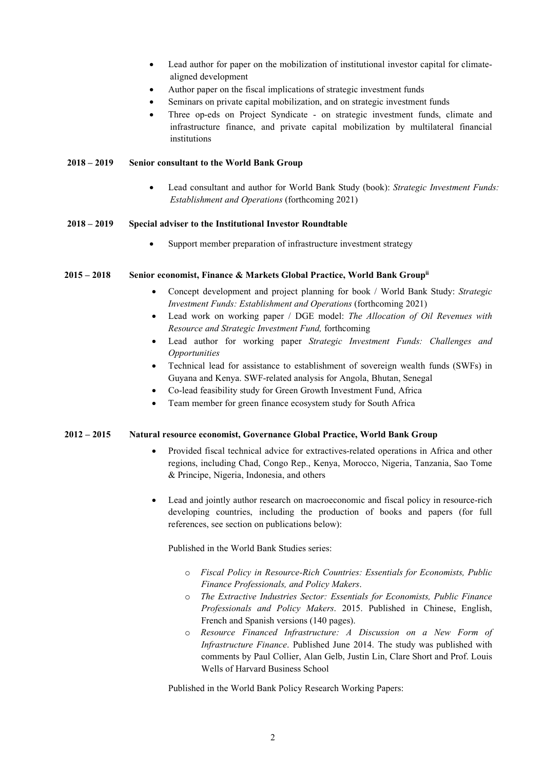- Lead author for paper on the mobilization of institutional investor capital for climatealigned development
- Author paper on the fiscal implications of strategic investment funds
- Seminars on private capital mobilization, and on strategic investment funds
- Three op-eds on Project Syndicate on strategic investment funds, climate and infrastructure finance, and private capital mobilization by multilateral financial institutions

## **2018 – 2019 Senior consultant to the World Bank Group**

• Lead consultant and author for World Bank Study (book): *Strategic Investment Funds: Establishment and Operations* (forthcoming 2021)

#### **2018 – 2019 Special adviser to the Institutional Investor Roundtable**

Support member preparation of infrastructure investment strategy

## **2015 – 2018 Senior economist, Finance & Markets Global Practice, World Bank Groupii**

- Concept development and project planning for book / World Bank Study: *Strategic Investment Funds: Establishment and Operations* (forthcoming 2021)
- Lead work on working paper / DGE model: *The Allocation of Oil Revenues with Resource and Strategic Investment Fund,* forthcoming
- Lead author for working paper *Strategic Investment Funds: Challenges and Opportunities*
- Technical lead for assistance to establishment of sovereign wealth funds (SWFs) in Guyana and Kenya. SWF-related analysis for Angola, Bhutan, Senegal
- Co-lead feasibility study for Green Growth Investment Fund, Africa
- Team member for green finance ecosystem study for South Africa

## **2012 – 2015 Natural resource economist, Governance Global Practice, World Bank Group**

- Provided fiscal technical advice for extractives-related operations in Africa and other regions, including Chad, Congo Rep., Kenya, Morocco, Nigeria, Tanzania, Sao Tome & Principe, Nigeria, Indonesia, and others
- Lead and jointly author research on macroeconomic and fiscal policy in resource-rich developing countries, including the production of books and papers (for full references, see section on publications below):

Published in the World Bank Studies series:

- o *Fiscal Policy in Resource-Rich Countries: Essentials for Economists, Public Finance Professionals, and Policy Makers*.
- o *The Extractive Industries Sector: Essentials for Economists, Public Finance Professionals and Policy Makers*. 2015. Published in Chinese, English, French and Spanish versions (140 pages).
- o *Resource Financed Infrastructure: A Discussion on a New Form of Infrastructure Finance*. Published June 2014. The study was published with comments by Paul Collier, Alan Gelb, Justin Lin, Clare Short and Prof. Louis Wells of Harvard Business School

Published in the World Bank Policy Research Working Papers: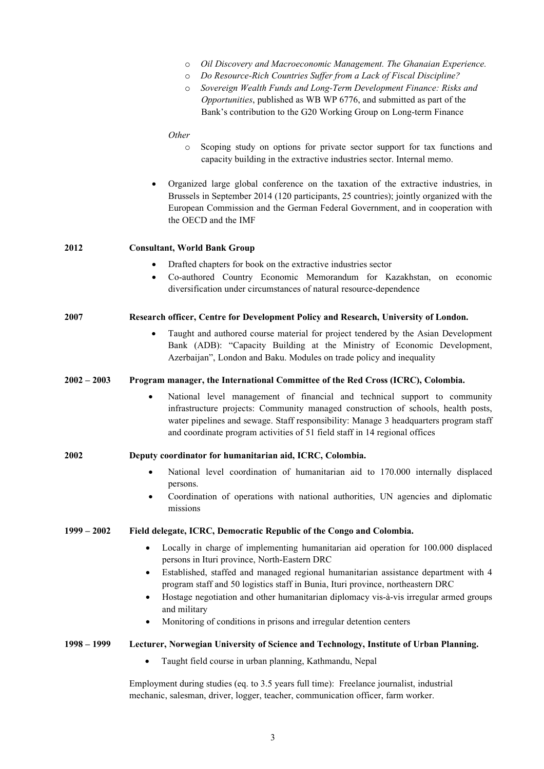|               | Oil Discovery and Macroeconomic Management. The Ghanaian Experience.<br>$\circ$<br>Do Resource-Rich Countries Suffer from a Lack of Fiscal Discipline?<br>$\circ$<br>Sovereign Wealth Funds and Long-Term Development Finance: Risks and<br>$\circ$<br>Opportunities, published as WB WP 6776, and submitted as part of the<br>Bank's contribution to the G20 Working Group on Long-term Finance |  |  |  |
|---------------|--------------------------------------------------------------------------------------------------------------------------------------------------------------------------------------------------------------------------------------------------------------------------------------------------------------------------------------------------------------------------------------------------|--|--|--|
|               | Other<br>Scoping study on options for private sector support for tax functions and<br>$\circ$<br>capacity building in the extractive industries sector. Internal memo.                                                                                                                                                                                                                           |  |  |  |
|               | Organized large global conference on the taxation of the extractive industries, in<br>Brussels in September 2014 (120 participants, 25 countries); jointly organized with the<br>European Commission and the German Federal Government, and in cooperation with<br>the OECD and the IMF                                                                                                          |  |  |  |
| 2012          | <b>Consultant, World Bank Group</b>                                                                                                                                                                                                                                                                                                                                                              |  |  |  |
|               | Drafted chapters for book on the extractive industries sector<br>Co-authored Country Economic Memorandum for Kazakhstan, on economic<br>diversification under circumstances of natural resource-dependence                                                                                                                                                                                       |  |  |  |
| 2007          | Research officer, Centre for Development Policy and Research, University of London.                                                                                                                                                                                                                                                                                                              |  |  |  |
|               | Taught and authored course material for project tendered by the Asian Development<br>$\bullet$<br>Bank (ADB): "Capacity Building at the Ministry of Economic Development,<br>Azerbaijan", London and Baku. Modules on trade policy and inequality                                                                                                                                                |  |  |  |
| $2002 - 2003$ | Program manager, the International Committee of the Red Cross (ICRC), Colombia.                                                                                                                                                                                                                                                                                                                  |  |  |  |
|               | National level management of financial and technical support to community<br>$\bullet$<br>infrastructure projects: Community managed construction of schools, health posts,<br>water pipelines and sewage. Staff responsibility: Manage 3 headquarters program staff<br>and coordinate program activities of 51 field staff in 14 regional offices                                               |  |  |  |
| <b>2002</b>   | Deputy coordinator for humanitarian aid, ICRC, Colombia.                                                                                                                                                                                                                                                                                                                                         |  |  |  |
|               | National level coordination of humanitarian aid to 170.000 internally displaced<br>persons.                                                                                                                                                                                                                                                                                                      |  |  |  |
|               | Coordination of operations with national authorities, UN agencies and diplomatic<br>$\bullet$<br>missions                                                                                                                                                                                                                                                                                        |  |  |  |
| $1999 - 2002$ | Field delegate, ICRC, Democratic Republic of the Congo and Colombia.                                                                                                                                                                                                                                                                                                                             |  |  |  |
|               | Locally in charge of implementing humanitarian aid operation for 100.000 displaced<br>$\bullet$<br>persons in Ituri province, North-Eastern DRC                                                                                                                                                                                                                                                  |  |  |  |
|               | Established, staffed and managed regional humanitarian assistance department with 4<br>٠<br>program staff and 50 logistics staff in Bunia, Ituri province, northeastern DRC<br>Hostage negotiation and other humanitarian diplomacy vis-à-vis irregular armed groups<br>$\bullet$<br>and military                                                                                                |  |  |  |
|               | Monitoring of conditions in prisons and irregular detention centers<br>٠                                                                                                                                                                                                                                                                                                                         |  |  |  |
| 1998 – 1999   | Lecturer, Norwegian University of Science and Technology, Institute of Urban Planning.                                                                                                                                                                                                                                                                                                           |  |  |  |
|               | Taught field course in urban planning, Kathmandu, Nepal<br>٠                                                                                                                                                                                                                                                                                                                                     |  |  |  |
|               | Employment during studies (eq. to 3.5 years full time): Freelance journalist, industrial<br>mechanic, salesman, driver, logger, teacher, communication officer, farm worker.                                                                                                                                                                                                                     |  |  |  |

3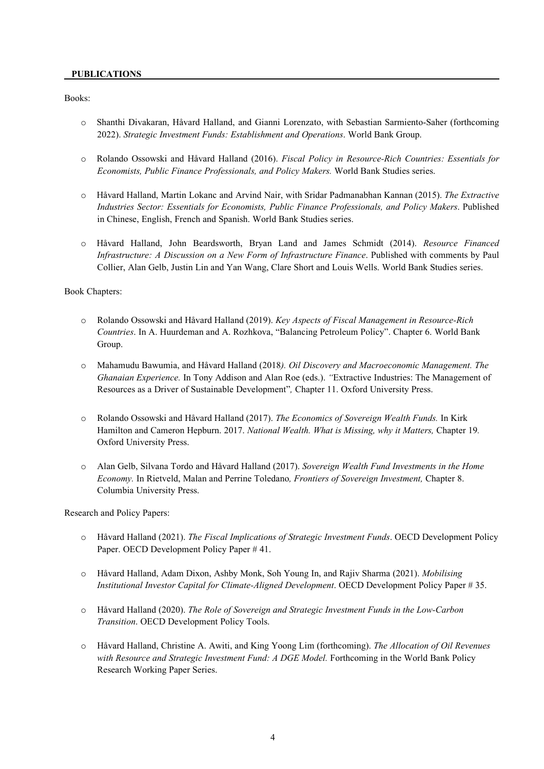## **PUBLICATIONS**

Books:

- o Shanthi Divakaran, Håvard Halland, and Gianni Lorenzato, with Sebastian Sarmiento-Saher (forthcoming 2022). *Strategic Investment Funds: Establishment and Operations*. World Bank Group.
- o Rolando Ossowski and Håvard Halland (2016). *Fiscal Policy in Resource-Rich Countries: Essentials for Economists, Public Finance Professionals, and Policy Makers.* World Bank Studies series.
- o Håvard Halland, Martin Lokanc and Arvind Nair, with Sridar Padmanabhan Kannan (2015). *The Extractive Industries Sector: Essentials for Economists, Public Finance Professionals, and Policy Makers*. Published in Chinese, English, French and Spanish. World Bank Studies series.
- o Håvard Halland, John Beardsworth, Bryan Land and James Schmidt (2014). *Resource Financed Infrastructure: A Discussion on a New Form of Infrastructure Finance*. Published with comments by Paul Collier, Alan Gelb, Justin Lin and Yan Wang, Clare Short and Louis Wells. World Bank Studies series.

Book Chapters:

- o Rolando Ossowski and Håvard Halland (2019). *Key Aspects of Fiscal Management in Resource-Rich Countries*. In A. Huurdeman and A. Rozhkova, "Balancing Petroleum Policy". Chapter 6. World Bank Group.
- o Mahamudu Bawumia, and Håvard Halland (2018*). Oil Discovery and Macroeconomic Management. The Ghanaian Experience.* In Tony Addison and Alan Roe (eds.). *"*Extractive Industries: The Management of Resources as a Driver of Sustainable Development"*,* Chapter 11. Oxford University Press.
- o Rolando Ossowski and Håvard Halland (2017). *The Economics of Sovereign Wealth Funds.* In Kirk Hamilton and Cameron Hepburn. 2017. *National Wealth. What is Missing, why it Matters,* Chapter 19*.* Oxford University Press.
- o Alan Gelb, Silvana Tordo and Håvard Halland (2017). *Sovereign Wealth Fund Investments in the Home Economy.* In Rietveld, Malan and Perrine Toledano*, Frontiers of Sovereign Investment,* Chapter 8. Columbia University Press.

Research and Policy Papers:

- o Håvard Halland (2021). *The Fiscal Implications of Strategic Investment Funds*. OECD Development Policy Paper. OECD Development Policy Paper # 41.
- o Håvard Halland, Adam Dixon, Ashby Monk, Soh Young In, and Rajiv Sharma (2021). *Mobilising Institutional Investor Capital for Climate-Aligned Development*. OECD Development Policy Paper # 35.
- o Håvard Halland (2020). *The Role of Sovereign and Strategic Investment Funds in the Low-Carbon Transition*. OECD Development Policy Tools.
- o Håvard Halland, Christine A. Awiti, and King Yoong Lim (forthcoming). *The Allocation of Oil Revenues with Resource and Strategic Investment Fund: A DGE Model.* Forthcoming in the World Bank Policy Research Working Paper Series.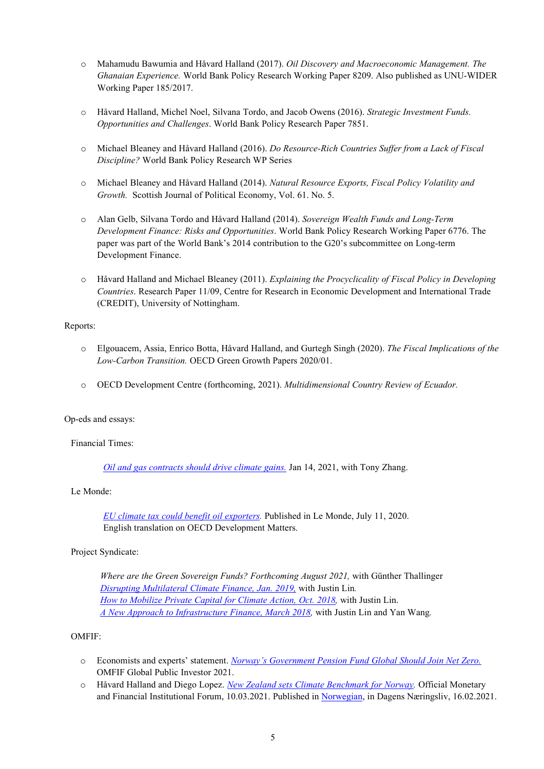- o Mahamudu Bawumia and Håvard Halland (2017). *Oil Discovery and Macroeconomic Management. The Ghanaian Experience.* World Bank Policy Research Working Paper 8209. Also published as UNU-WIDER Working Paper 185/2017.
- o Håvard Halland, Michel Noel, Silvana Tordo, and Jacob Owens (2016). *Strategic Investment Funds. Opportunities and Challenges*. World Bank Policy Research Paper 7851.
- o Michael Bleaney and Håvard Halland (2016). *Do Resource-Rich Countries Suffer from a Lack of Fiscal Discipline?* World Bank Policy Research WP Series
- o Michael Bleaney and Håvard Halland (2014). *Natural Resource Exports, Fiscal Policy Volatility and Growth.* Scottish Journal of Political Economy, Vol. 61. No. 5.
- o Alan Gelb, Silvana Tordo and Håvard Halland (2014). *Sovereign Wealth Funds and Long-Term Development Finance: Risks and Opportunities*. World Bank Policy Research Working Paper 6776. The paper was part of the World Bank's 2014 contribution to the G20's subcommittee on Long-term Development Finance.
- o Håvard Halland and Michael Bleaney (2011). *Explaining the Procyclicality of Fiscal Policy in Developing Countries*. Research Paper 11/09, Centre for Research in Economic Development and International Trade (CREDIT), University of Nottingham.

## Reports:

- o Elgouacem, Assia, Enrico Botta, Håvard Halland, and Gurtegh Singh (2020). *The Fiscal Implications of the Low-Carbon Transition.* OECD Green Growth Papers 2020/01.
- o OECD Development Centre (forthcoming, 2021). *Multidimensional Country Review of Ecuador.*

## Op-eds and essays:

Financial Times:

*Oil and gas contracts should drive climate gains.* Jan 14, 2021, with Tony Zhang.

## Le Monde:

*EU climate tax could benefit oil exporters.* Published in Le Monde, July 11, 2020. English translation on OECD Development Matters.

# Project Syndicate:

*Where are the Green Sovereign Funds? Forthcoming August 2021,* with Günther Thallinger *Disrupting Multilateral Climate Finance, Jan. 2019,* with Justin Lin*. How to Mobilize Private Capital for Climate Action, Oct. 2018,* with Justin Lin. *A New Approach to Infrastructure Finance, March 2018,* with Justin Lin and Yan Wang*.*

## OMFIF:

- o Economists and experts' statement. *Norway's Government Pension Fund Global Should Join Net Zero.* OMFIF Global Public Investor 2021.
- o Håvard Halland and Diego Lopez. *New Zealand sets Climate Benchmark for Norway.* Official Monetary and Financial Institutional Forum, 10.03.2021. Published in Norwegian, in Dagens Næringsliv, 16.02.2021.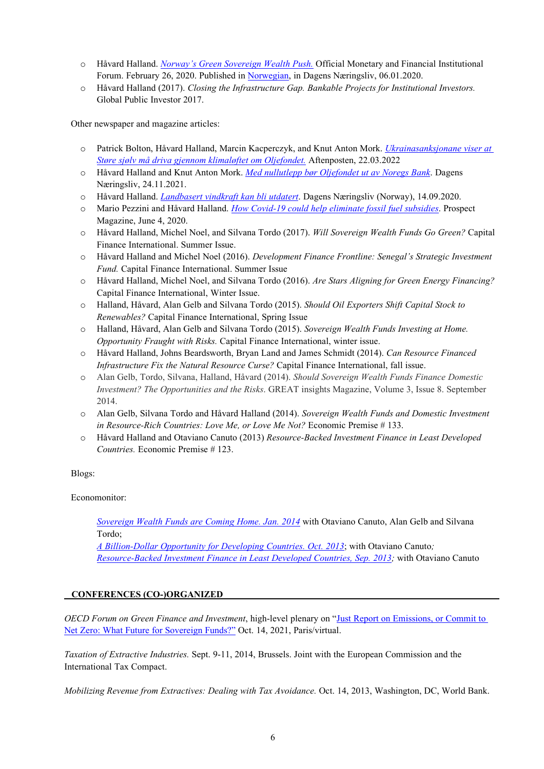- o Håvard Halland. *Norway's Green Sovereign Wealth Push.* Official Monetary and Financial Institutional Forum. February 26, 2020. Published in Norwegian, in Dagens Næringsliv, 06.01.2020.
- o Håvard Halland (2017). *Closing the Infrastructure Gap. Bankable Projects for Institutional Investors.* Global Public Investor 2017.

Other newspaper and magazine articles:

- o Patrick Bolton, Håvard Halland, Marcin Kacperczyk, and Knut Anton Mork. *Ukrainasanksjonane viser at Støre sjølv må driva gjennom klimaløftet om Oljefondet.* Aftenposten, 22.03.2022
- o Håvard Halland and Knut Anton Mork. *Med nullutlepp bør Oljefondet ut av Noregs Bank*. Dagens Næringsliv, 24.11.2021.
- o Håvard Halland. *Landbasert vindkraft kan bli utdatert*. Dagens Næringsliv (Norway), 14.09.2020.
- o Mario Pezzini and Håvard Halland. *How Covid-19 could help eliminate fossil fuel subsidies*. Prospect Magazine, June 4, 2020.
- o Håvard Halland, Michel Noel, and Silvana Tordo (2017). *Will Sovereign Wealth Funds Go Green?* Capital Finance International. Summer Issue.
- o Håvard Halland and Michel Noel (2016). *Development Finance Frontline: Senegal's Strategic Investment Fund.* Capital Finance International. Summer Issue
- o Håvard Halland, Michel Noel, and Silvana Tordo (2016). *Are Stars Aligning for Green Energy Financing?* Capital Finance International, Winter Issue.
- o Halland, Håvard, Alan Gelb and Silvana Tordo (2015). *Should Oil Exporters Shift Capital Stock to Renewables?* Capital Finance International, Spring Issue
- o Halland, Håvard, Alan Gelb and Silvana Tordo (2015). *Sovereign Wealth Funds Investing at Home. Opportunity Fraught with Risks.* Capital Finance International, winter issue.
- o Håvard Halland, Johns Beardsworth, Bryan Land and James Schmidt (2014). *Can Resource Financed Infrastructure Fix the Natural Resource Curse?* Capital Finance International, fall issue.
- o Alan Gelb, Tordo, Silvana, Halland, Håvard (2014). *Should Sovereign Wealth Funds Finance Domestic Investment? The Opportunities and the Risks*. GREAT insights Magazine, Volume 3, Issue 8. September 2014.
- o Alan Gelb, Silvana Tordo and Håvard Halland (2014). *Sovereign Wealth Funds and Domestic Investment in Resource-Rich Countries: Love Me, or Love Me Not?* Economic Premise # 133.
- o Håvard Halland and Otaviano Canuto (2013) *Resource-Backed Investment Finance in Least Developed Countries.* Economic Premise # 123.

Blogs:

Economonitor:

*Sovereign Wealth Funds are Coming Home. Jan. 2014* with Otaviano Canuto, Alan Gelb and Silvana Tordo;

*A Billion-Dollar Opportunity for Developing Countries. Oct. 2013*; with Otaviano Canuto*; Resource-Backed Investment Finance in Least Developed Countries, Sep. 2013;* with Otaviano Canuto

# **CONFERENCES (CO-)ORGANIZED**

*OECD Forum on Green Finance and Investment*, high-level plenary on "Just Report on Emissions, or Commit to Net Zero: What Future for Sovereign Funds?" Oct. 14, 2021, Paris/virtual.

*Taxation of Extractive Industries.* Sept. 9-11, 2014, Brussels. Joint with the European Commission and the International Tax Compact.

*Mobilizing Revenue from Extractives: Dealing with Tax Avoidance.* Oct. 14, 2013, Washington, DC, World Bank.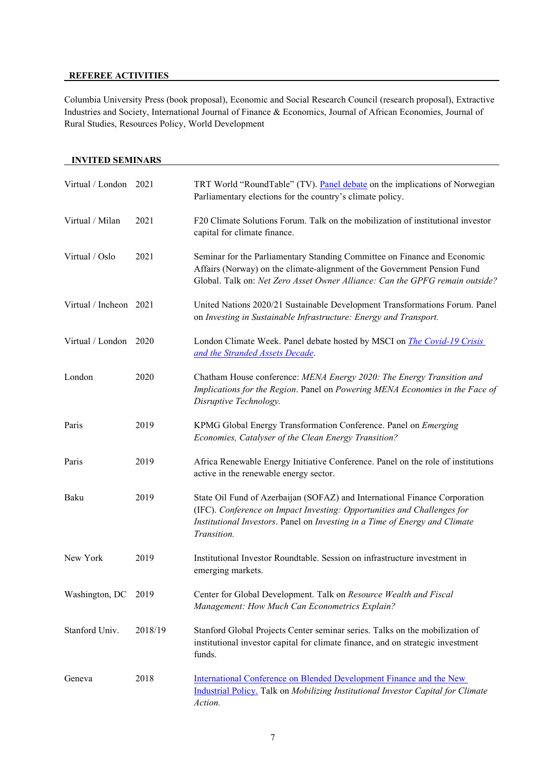# **REFEREE ACTIVITIES**

Columbia University Press (book proposal), Economic and Social Research Council (research proposal), Extractive Industries and Society, International Journal of Finance & Economics, Journal of African Economies, Journal of Rural Studies, Resources Policy, World Development

|                        | <b>INVITED SEMINARS</b> |                                                                                                                                                                                                                                                     |  |  |  |  |
|------------------------|-------------------------|-----------------------------------------------------------------------------------------------------------------------------------------------------------------------------------------------------------------------------------------------------|--|--|--|--|
| Virtual / London       | 2021                    | TRT World "RoundTable" (TV). Panel debate on the implications of Norwegian<br>Parliamentary elections for the country's climate policy.                                                                                                             |  |  |  |  |
| Virtual / Milan        | 2021                    | F20 Climate Solutions Forum. Talk on the mobilization of institutional investor<br>capital for climate finance.                                                                                                                                     |  |  |  |  |
| Virtual / Oslo         | 2021                    | Seminar for the Parliamentary Standing Committee on Finance and Economic<br>Affairs (Norway) on the climate-alignment of the Government Pension Fund<br>Global. Talk on: Net Zero Asset Owner Alliance: Can the GPFG remain outside?                |  |  |  |  |
| Virtual / Incheon 2021 |                         | United Nations 2020/21 Sustainable Development Transformations Forum. Panel<br>on Investing in Sustainable Infrastructure: Energy and Transport.                                                                                                    |  |  |  |  |
| Virtual / London       | 2020                    | London Climate Week. Panel debate hosted by MSCI on <i>The Covid-19 Crisis</i><br>and the Stranded Assets Decade.                                                                                                                                   |  |  |  |  |
| London                 | 2020                    | Chatham House conference: MENA Energy 2020: The Energy Transition and<br>Implications for the Region. Panel on Powering MENA Economies in the Face of<br>Disruptive Technology.                                                                     |  |  |  |  |
| Paris                  | 2019                    | KPMG Global Energy Transformation Conference. Panel on Emerging<br>Economies, Catalyser of the Clean Energy Transition?                                                                                                                             |  |  |  |  |
| Paris                  | 2019                    | Africa Renewable Energy Initiative Conference. Panel on the role of institutions<br>active in the renewable energy sector.                                                                                                                          |  |  |  |  |
| Baku                   | 2019                    | State Oil Fund of Azerbaijan (SOFAZ) and International Finance Corporation<br>(IFC). Conference on Impact Investing: Opportunities and Challenges for<br>Institutional Investors. Panel on Investing in a Time of Energy and Climate<br>Transition. |  |  |  |  |
| New York               | 2019                    | Institutional Investor Roundtable. Session on infrastructure investment in<br>emerging markets.                                                                                                                                                     |  |  |  |  |
| Washington, DC         | 2019                    | Center for Global Development. Talk on Resource Wealth and Fiscal<br>Management: How Much Can Econometrics Explain?                                                                                                                                 |  |  |  |  |
| Stanford Univ.         | 2018/19                 | Stanford Global Projects Center seminar series. Talks on the mobilization of<br>institutional investor capital for climate finance, and on strategic investment<br>funds.                                                                           |  |  |  |  |
| Geneva                 | 2018                    | International Conference on Blended Development Finance and the New<br>Industrial Policy. Talk on Mobilizing Institutional Investor Capital for Climate<br>Action.                                                                                  |  |  |  |  |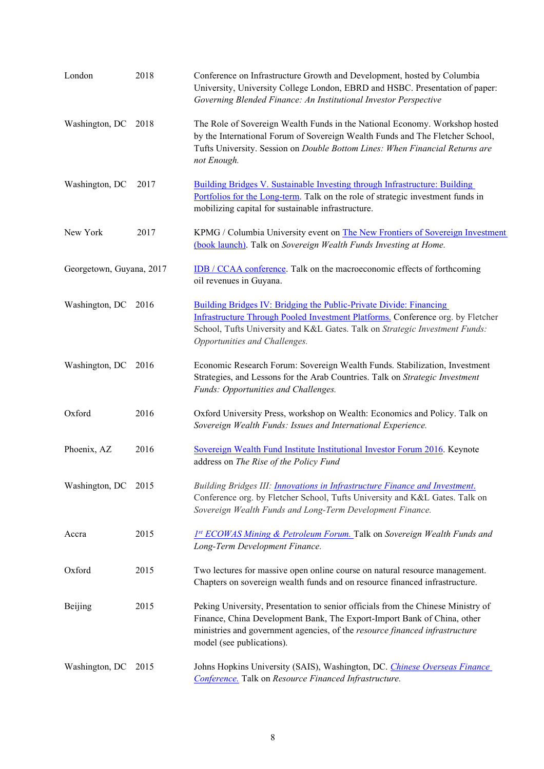| London                   | 2018 | Conference on Infrastructure Growth and Development, hosted by Columbia<br>University, University College London, EBRD and HSBC. Presentation of paper:<br>Governing Blended Finance: An Institutional Investor Perspective                                             |
|--------------------------|------|-------------------------------------------------------------------------------------------------------------------------------------------------------------------------------------------------------------------------------------------------------------------------|
| Washington, DC           | 2018 | The Role of Sovereign Wealth Funds in the National Economy. Workshop hosted<br>by the International Forum of Sovereign Wealth Funds and The Fletcher School,<br>Tufts University. Session on Double Bottom Lines: When Financial Returns are<br>not Enough.             |
| Washington, DC           | 2017 | <b>Building Bridges V. Sustainable Investing through Infrastructure: Building</b><br>Portfolios for the Long-term. Talk on the role of strategic investment funds in<br>mobilizing capital for sustainable infrastructure.                                              |
| New York                 | 2017 | KPMG / Columbia University event on The New Frontiers of Sovereign Investment<br>(book launch). Talk on Sovereign Wealth Funds Investing at Home.                                                                                                                       |
| Georgetown, Guyana, 2017 |      | <b>IDB</b> / CCAA conference. Talk on the macroeconomic effects of forthcoming<br>oil revenues in Guyana.                                                                                                                                                               |
| Washington, DC           | 2016 | Building Bridges IV: Bridging the Public-Private Divide: Financing<br>Infrastructure Through Pooled Investment Platforms. Conference org. by Fletcher<br>School, Tufts University and K&L Gates. Talk on Strategic Investment Funds:<br>Opportunities and Challenges.   |
| Washington, DC           | 2016 | Economic Research Forum: Sovereign Wealth Funds. Stabilization, Investment<br>Strategies, and Lessons for the Arab Countries. Talk on Strategic Investment<br>Funds: Opportunities and Challenges.                                                                      |
| Oxford                   | 2016 | Oxford University Press, workshop on Wealth: Economics and Policy. Talk on<br>Sovereign Wealth Funds: Issues and International Experience.                                                                                                                              |
| Phoenix, AZ              | 2016 | Sovereign Wealth Fund Institute Institutional Investor Forum 2016. Keynote<br>address on The Rise of the Policy Fund                                                                                                                                                    |
| Washington, DC           | 2015 | Building Bridges III: <i>Innovations in Infrastructure Finance and Investment</i> .<br>Conference org. by Fletcher School, Tufts University and K&L Gates. Talk on<br>Sovereign Wealth Funds and Long-Term Development Finance.                                         |
| Accra                    | 2015 | <b>Ist ECOWAS Mining &amp; Petroleum Forum.</b> Talk on Sovereign Wealth Funds and<br>Long-Term Development Finance.                                                                                                                                                    |
| Oxford                   | 2015 | Two lectures for massive open online course on natural resource management.<br>Chapters on sovereign wealth funds and on resource financed infrastructure.                                                                                                              |
| Beijing                  | 2015 | Peking University, Presentation to senior officials from the Chinese Ministry of<br>Finance, China Development Bank, The Export-Import Bank of China, other<br>ministries and government agencies, of the resource financed infrastructure<br>model (see publications). |
| Washington, DC           | 2015 | Johns Hopkins University (SAIS), Washington, DC. Chinese Overseas Finance<br>Conference. Talk on Resource Financed Infrastructure.                                                                                                                                      |